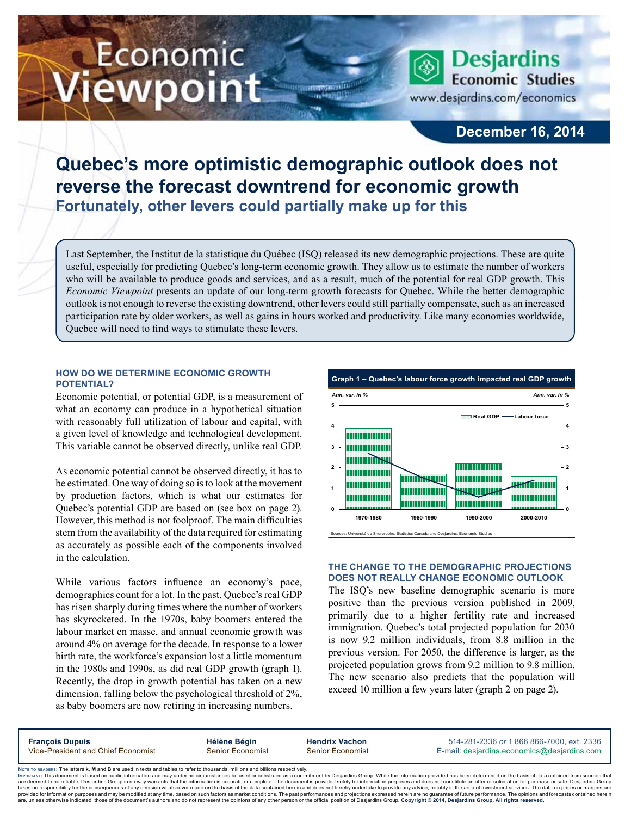# Economic ewpoint

**Desjardins Economic Studies** www.desjardins.com/economics

## **December 16, 2014**

## **Quebec's more optimistic demographic outlook does not reverse the forecast downtrend for economic growth Fortunately, other levers could partially make up for this**

m

Last September, the Institut de la statistique du Québec (ISQ) released its new demographic projections. These are quite useful, especially for predicting Quebec's long-term economic growth. They allow us to estimate the number of workers who will be available to produce goods and services, and as a result, much of the potential for real GDP growth. This *Economic Viewpoint* presents an update of our long-term growth forecasts for Quebec. While the better demographic outlook is not enough to reverse the existing downtrend, other levers could still partially compensate, such as an increased participation rate by older workers, as well as gains in hours worked and productivity. Like many economies worldwide, Quebec will need to find ways to stimulate these levers.

## **How do we determine economic growth potential?**

Economic potential, or potential GDP, is a measurement of what an economy can produce in a hypothetical situation with reasonably full utilization of labour and capital, with a given level of knowledge and technological development. This variable cannot be observed directly, unlike real GDP.

As economic potential cannot be observed directly, it has to be estimated. One way of doing so is to look at the movement by production factors, which is what our estimates for Quebec's potential GDP are based on (see box on page 2). However, this method is not foolproof. The main difficulties stem from the availability of the data required for estimating as accurately as possible each of the components involved in the calculation.

While various factors influence an economy's pace, demographics count for a lot. In the past, Quebec's real GDP has risen sharply during times where the number of workers has skyrocketed. In the 1970s, baby boomers entered the labour market en masse, and annual economic growth was around 4% on average for the decade. In response to a lower birth rate, the workforce's expansion lost a little momentum in the 1980s and 1990s, as did real GDP growth (graph 1). Recently, the drop in growth potential has taken on a new dimension, falling below the psychological threshold of 2%, as baby boomers are now retiring in increasing numbers.



## **The change to the demographic projections does not really change economic outlook**

The ISQ's new baseline demographic scenario is more positive than the previous version published in 2009, primarily due to a higher fertility rate and increased immigration. Quebec's total projected population for 2030 is now 9.2 million individuals, from 8.8 million in the previous version. For 2050, the difference is larger, as the projected population grows from 9.2 million to 9.8 million. The new scenario also predicts that the population will exceed 10 million a few years later (graph 2 on page 2).

**François Dupuis Hélène Bégin Hendrix Vachon** 514-281-2336 *or* 1 866 866-7000, ext. 2336 Vice-President and Chief Economist Senior Economist Senior Economist E-mail: desjardins.economics@desjardins.com

Noте то келоекs: The letters **k, M** and **B** are used in texts and tables to refer to thousands, millions and billions respectively.<br>Імроктлит: This document is based on public information and may under no circumstances be are deemed to be reliable. Desiardins Group in no way warrants that the information is accurate or complete. The document is provided solely for information purposes and does not constitute an offer or solicitation for pur takes no responsibility for the consequences of any decision whatsoever made on the basis of the data contained herein and does not hereby undertake to provide any advice, notably in the area of investment services. The da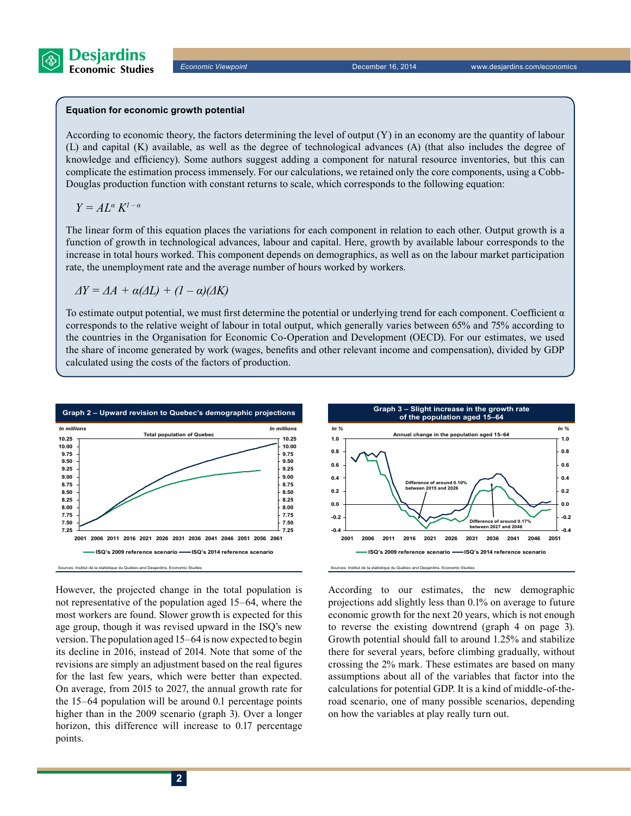

#### **Equation for economic growth potential**

According to economic theory, the factors determining the level of output (Y) in an economy are the quantity of labour (L) and capital (K) available, as well as the degree of technological advances (A) (that also includes the degree of knowledge and efficiency). Some authors suggest adding a component for natural resource inventories, but this can complicate the estimation process immensely. For our calculations, we retained only the core components, using a Cobb-Douglas production function with constant returns to scale, which corresponds to the following equation:

*Y = AL<sup>α</sup> K1 – α*

The linear form of this equation places the variations for each component in relation to each other. Output growth is a function of growth in technological advances, labour and capital. Here, growth by available labour corresponds to the increase in total hours worked. This component depends on demographics, as well as on the labour market participation rate, the unemployment rate and the average number of hours worked by workers.

$$
\Delta Y = \Delta A + \alpha(\Delta L) + (1 - \alpha)(\Delta K)
$$

To estimate output potential, we must first determine the potential or underlying trend for each component. Coefficient  $\alpha$ corresponds to the relative weight of labour in total output, which generally varies between 65% and 75% according to the countries in the Organisation for Economic Co-Operation and Development (OECD). For our estimates, we used the share of income generated by work (wages, benefits and other relevant income and compensation), divided by GDP calculated using the costs of the factors of production.



However, the projected change in the total population is not representative of the population aged 15–64, where the most workers are found. Slower growth is expected for this age group, though it was revised upward in the ISQ's new version. The population aged 15–64 is now expected to begin its decline in 2016, instead of 2014. Note that some of the revisions are simply an adjustment based on the real figures for the last few years, which were better than expected. On average, from 2015 to 2027, the annual growth rate for the 15–64 population will be around 0.1 percentage points higher than in the 2009 scenario (graph 3). Over a longer horizon, this difference will increase to 0.17 percentage points.



According to our estimates, the new demographic projections add slightly less than 0.1% on average to future economic growth for the next 20 years, which is not enough to reverse the existing downtrend (graph 4 on page 3). Growth potential should fall to around 1.25% and stabilize there for several years, before climbing gradually, without crossing the 2% mark. These estimates are based on many assumptions about all of the variables that factor into the calculations for potential GDP. It is a kind of middle-of-theroad scenario, one of many possible scenarios, depending on how the variables at play really turn out.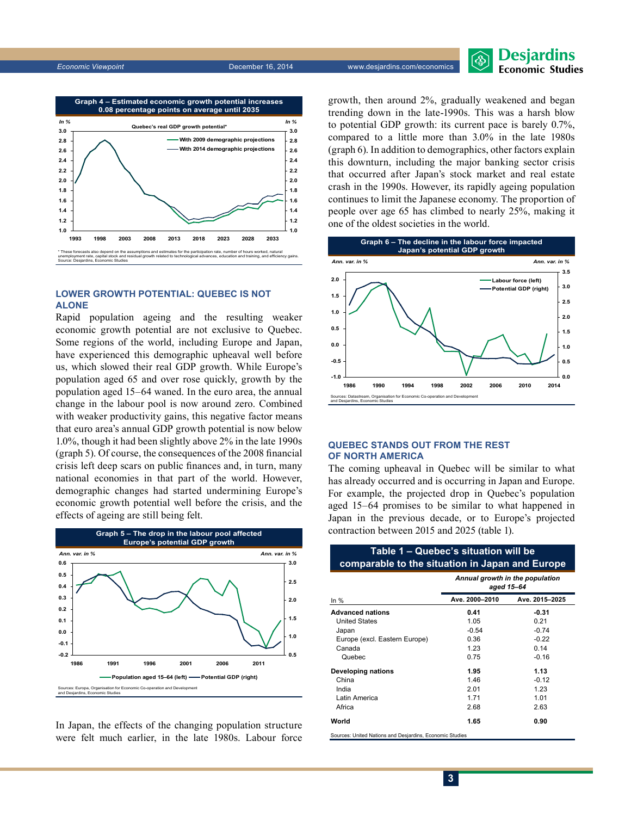

## **Lower growth potential: Quebec is not alone**

Rapid population ageing and the resulting weaker economic growth potential are not exclusive to Quebec. Some regions of the world, including Europe and Japan, have experienced this demographic upheaval well before us, which slowed their real GDP growth. While Europe's population aged 65 and over rose quickly, growth by the population aged 15–64 waned. In the euro area, the annual change in the labour pool is now around zero. Combined with weaker productivity gains, this negative factor means that euro area's annual GDP growth potential is now below 1.0%, though it had been slightly above 2% in the late 1990s (graph 5). Of course, the consequences of the 2008 financial crisis left deep scars on public finances and, in turn, many national economies in that part of the world. However, demographic changes had started undermining Europe's economic growth potential well before the crisis, and the effects of ageing are still being felt.



In Japan, the effects of the changing population structure were felt much earlier, in the late 1980s. Labour force growth, then around 2%, gradually weakened and began trending down in the late-1990s. This was a harsh blow to potential GDP growth: its current pace is barely 0.7%, compared to a little more than 3.0% in the late 1980s (graph 6). In addition to demographics, other factors explain this downturn, including the major banking sector crisis that occurred after Japan's stock market and real estate crash in the 1990s. However, its rapidly ageing population continues to limit the Japanese economy. The proportion of people over age 65 has climbed to nearly 25%, making it one of the oldest societies in the world.



## **Quebec stands out from the rest of North America**

The coming upheaval in Quebec will be similar to what has already occurred and is occurring in Japan and Europe. For example, the projected drop in Quebec's population aged 15–64 promises to be similar to what happened in Japan in the previous decade, or to Europe's projected contraction between 2015 and 2025 (table 1).

## **Table 1 – Quebec's situation will be comparable to the situation in Japan and Europe**

|                                                          | Annual growth in the population<br>aged 15-64 |                |  |  |  |
|----------------------------------------------------------|-----------------------------------------------|----------------|--|--|--|
| In $%$                                                   | Ave. 2000-2010                                | Ave. 2015-2025 |  |  |  |
| <b>Advanced nations</b>                                  | 0.41                                          | $-0.31$        |  |  |  |
| <b>United States</b>                                     | 1.05                                          | 0.21           |  |  |  |
| Japan                                                    | $-0.54$                                       | $-0.74$        |  |  |  |
| Europe (excl. Eastern Europe)                            | 0.36                                          | $-0.22$        |  |  |  |
| Canada                                                   | 1.23                                          | 0.14           |  |  |  |
| Quebec                                                   | 0.75                                          | $-0.16$        |  |  |  |
| Developing nations                                       | 1.95                                          | 1.13           |  |  |  |
| China                                                    | 1.46                                          | $-0.12$        |  |  |  |
| India                                                    | 2.01                                          | 1.23           |  |  |  |
| Latin America                                            | 1.71                                          | 1.01           |  |  |  |
| Africa                                                   | 2.68                                          | 2.63           |  |  |  |
| World                                                    | 1.65                                          | 0.90           |  |  |  |
| Sources: United Nations and Desjardins, Economic Studies |                                               |                |  |  |  |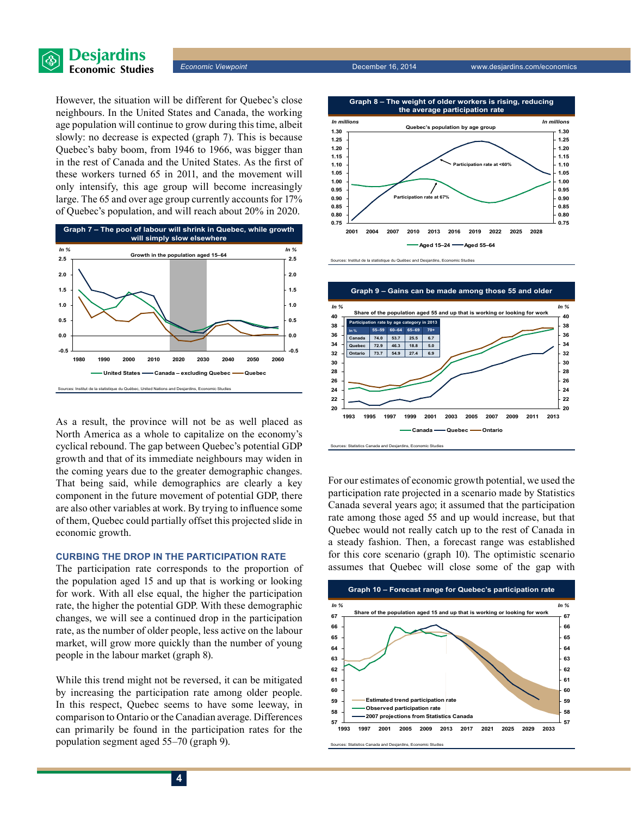

*Economic Viewpoint* December 16, 2014 www.desjardins.com/economics

However, the situation will be different for Quebec's close neighbours. In the United States and Canada, the working age population will continue to grow during this time, albeit slowly: no decrease is expected (graph 7). This is because Quebec's baby boom, from 1946 to 1966, was bigger than in the rest of Canada and the United States. As the first of these workers turned 65 in 2011, and the movement will only intensify, this age group will become increasingly large. The 65 and over age group currently accounts for 17% of Quebec's population, and will reach about 20% in 2020.



As a result, the province will not be as well placed as North America as a whole to capitalize on the economy's cyclical rebound. The gap between Quebec's potential GDP growth and that of its immediate neighbours may widen in the coming years due to the greater demographic changes. That being said, while demographics are clearly a key component in the future movement of potential GDP, there are also other variables at work. By trying to influence some of them, Quebec could partially offset this projected slide in economic growth.

## **Curbing the drop in the participation rate**

The participation rate corresponds to the proportion of the population aged 15 and up that is working or looking for work. With all else equal, the higher the participation rate, the higher the potential GDP. With these demographic changes, we will see a continued drop in the participation rate, as the number of older people, less active on the labour market, will grow more quickly than the number of young people in the labour market (graph 8).

While this trend might not be reversed, it can be mitigated by increasing the participation rate among older people. In this respect, Quebec seems to have some leeway, in comparison to Ontario or the Canadian average. Differences can primarily be found in the participation rates for the population segment aged 55–70 (graph 9).







Sources: Statistics Canada and Desjardins, Economic Studies

For our estimates of economic growth potential, we used the participation rate projected in a scenario made by Statistics Canada several years ago; it assumed that the participation rate among those aged 55 and up would increase, but that Quebec would not really catch up to the rest of Canada in a steady fashion. Then, a forecast range was established for this core scenario (graph 10). The optimistic scenario assumes that Quebec will close some of the gap with



Sources: Statistics Canada and Desiardins, Economic Studie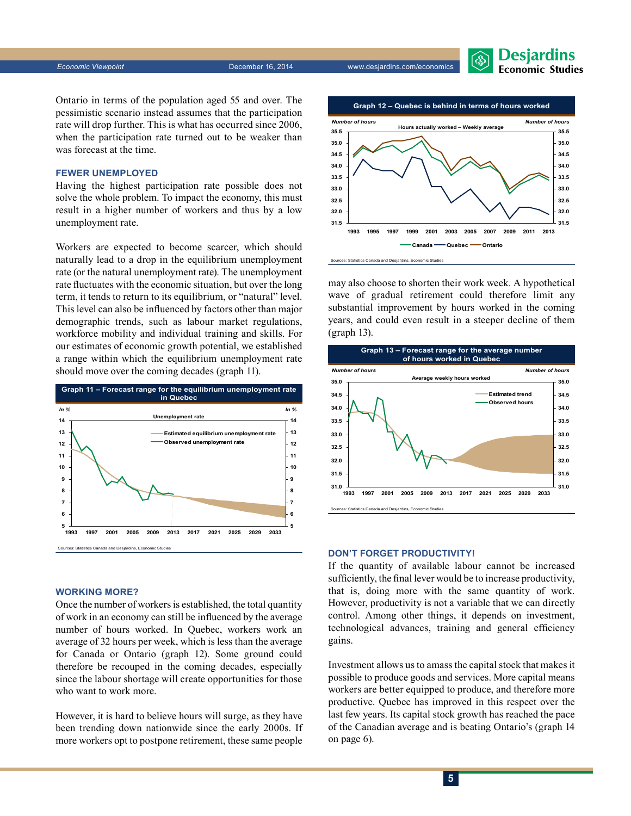**Desjardins**<br>Economic Studies

Ontario in terms of the population aged 55 and over. The pessimistic scenario instead assumes that the participation rate will drop further. This is what has occurred since 2006, when the participation rate turned out to be weaker than was forecast at the time.

## **Fewer unemployed**

Having the highest participation rate possible does not solve the whole problem. To impact the economy, this must result in a higher number of workers and thus by a low unemployment rate.

Workers are expected to become scarcer, which should naturally lead to a drop in the equilibrium unemployment rate (or the natural unemployment rate). The unemployment rate fluctuates with the economic situation, but over the long term, it tends to return to its equilibrium, or "natural" level. This level can also be influenced by factors other than major demographic trends, such as labour market regulations, workforce mobility and individual training and skills. For our estimates of economic growth potential, we established a range within which the equilibrium unemployment rate should move over the coming decades (graph 11).



#### **Working more?**

Once the number of workers is established, the total quantity of work in an economy can still be influenced by the average number of hours worked. In Quebec, workers work an average of 32 hours per week, which is less than the average for Canada or Ontario (graph 12). Some ground could therefore be recouped in the coming decades, especially since the labour shortage will create opportunities for those who want to work more.

However, it is hard to believe hours will surge, as they have been trending down nationwide since the early 2000s. If more workers opt to postpone retirement, these same people



may also choose to shorten their work week. A hypothetical wave of gradual retirement could therefore limit any substantial improvement by hours worked in the coming years, and could even result in a steeper decline of them (graph 13).



#### **Don't forget productivity!**

If the quantity of available labour cannot be increased sufficiently, the final lever would be to increase productivity, that is, doing more with the same quantity of work. However, productivity is not a variable that we can directly control. Among other things, it depends on investment, technological advances, training and general efficiency gains.

Investment allows us to amass the capital stock that makes it possible to produce goods and services. More capital means workers are better equipped to produce, and therefore more productive. Quebec has improved in this respect over the last few years. Its capital stock growth has reached the pace of the Canadian average and is beating Ontario's (graph 14 on page 6).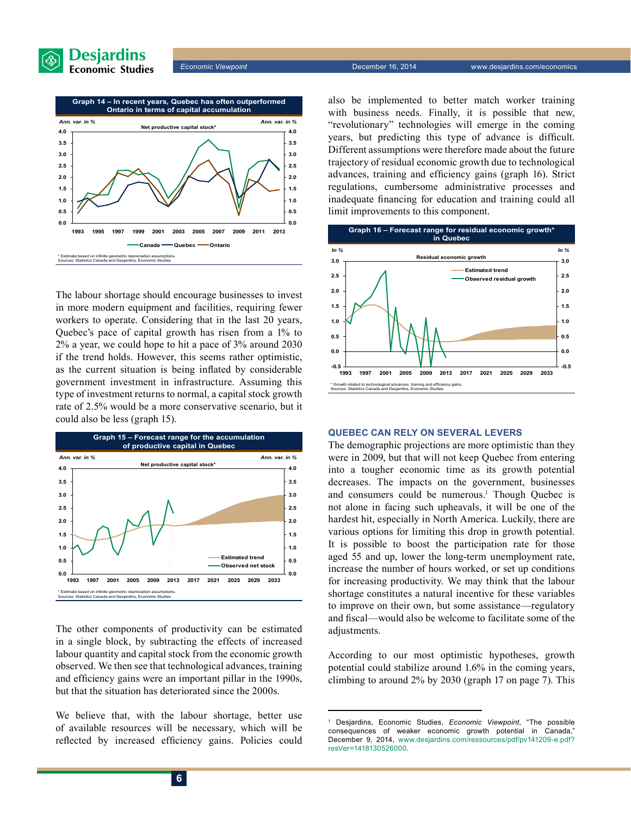



The labour shortage should encourage businesses to invest in more modern equipment and facilities, requiring fewer workers to operate. Considering that in the last 20 years, Quebec's pace of capital growth has risen from a 1% to 2% a year, we could hope to hit a pace of 3% around 2030 if the trend holds. However, this seems rather optimistic, as the current situation is being inflated by considerable government investment in infrastructure. Assuming this type of investment returns to normal, a capital stock growth rate of 2.5% would be a more conservative scenario, but it could also be less (graph 15).



The other components of productivity can be estimated in a single block, by subtracting the effects of increased labour quantity and capital stock from the economic growth observed. We then see that technological advances, training and efficiency gains were an important pillar in the 1990s, but that the situation has deteriorated since the 2000s.

We believe that, with the labour shortage, better use of available resources will be necessary, which will be reflected by increased efficiency gains. Policies could also be implemented to better match worker training with business needs. Finally, it is possible that new, "revolutionary" technologies will emerge in the coming years, but predicting this type of advance is difficult. Different assumptions were therefore made about the future trajectory of residual economic growth due to technological advances, training and efficiency gains (graph 16). Strict regulations, cumbersome administrative processes and inadequate financing for education and training could all limit improvements to this component.



### **Quebec can rely on several levers**

The demographic projections are more optimistic than they were in 2009, but that will not keep Quebec from entering into a tougher economic time as its growth potential decreases. The impacts on the government, businesses and consumers could be numerous.<sup>1</sup> Though Quebec is not alone in facing such upheavals, it will be one of the hardest hit, especially in North America. Luckily, there are various options for limiting this drop in growth potential. It is possible to boost the participation rate for those aged 55 and up, lower the long-term unemployment rate, increase the number of hours worked, or set up conditions for increasing productivity. We may think that the labour shortage constitutes a natural incentive for these variables to improve on their own, but some assistance—regulatory and fiscal—would also be welcome to facilitate some of the adjustments.

According to our most optimistic hypotheses, growth potential could stabilize around 1.6% in the coming years, climbing to around 2% by 2030 (graph 17 on page 7). This

<sup>1</sup> Desjardins, Economic Studies, *Economic Viewpoint*, "The possible consequences of weaker economic growth potential in Canada," December 9, 2014, [www.desjardins.com/ressources/pdf/pv141209-e.pdf?](http://www.desjardins.com/ressources/pdf/pv141209-e.pdf?resVer=1418130526000)  [resVer=1418130526000.](http://www.desjardins.com/ressources/pdf/pv141209-e.pdf?resVer=1418130526000)